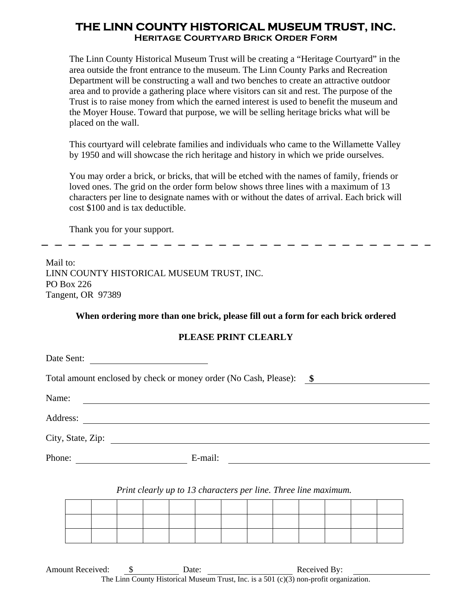# **THE LINN COUNTY HISTORICAL MUSEUM TRUST, INC. Heritage Courtyard Brick Order Form**

The Linn County Historical Museum Trust will be creating a "Heritage Courtyard" in the area outside the front entrance to the museum. The Linn County Parks and Recreation Department will be constructing a wall and two benches to create an attractive outdoor area and to provide a gathering place where visitors can sit and rest. The purpose of the Trust is to raise money from which the earned interest is used to benefit the museum and the Moyer House. Toward that purpose, we will be selling heritage bricks what will be placed on the wall.

This courtyard will celebrate families and individuals who came to the Willamette Valley by 1950 and will showcase the rich heritage and history in which we pride ourselves.

You may order a brick, or bricks, that will be etched with the names of family, friends or loved ones. The grid on the order form below shows three lines with a maximum of 13 characters per line to designate names with or without the dates of arrival. Each brick will cost \$100 and is tax deductible.

Thank you for your support.

Mail to: LINN COUNTY HISTORICAL MUSEUM TRUST, INC. PO Box 226 Tangent, OR 97389

### **When ordering more than one brick, please fill out a form for each brick ordered**

## **PLEASE PRINT CLEARLY**

| Date Sent:                                                       |         |  |
|------------------------------------------------------------------|---------|--|
| Total amount enclosed by check or money order (No Cash, Please): | $\sim$  |  |
| Name:<br><u> 1989 - John Stein, Amerikaansk politiker (</u>      |         |  |
| Address:<br><u> 1980 - Jan Samuel Barbara, martin di</u>         |         |  |
| City, State, Zip:                                                |         |  |
| Phone:                                                           | E-mail: |  |

### *Print clearly up to 13 characters per line. Three line maximum.*

Amount Received: \$ Date: Received By: The Linn County Historical Museum Trust, Inc. is a 501 (c)(3) non-profit organization.